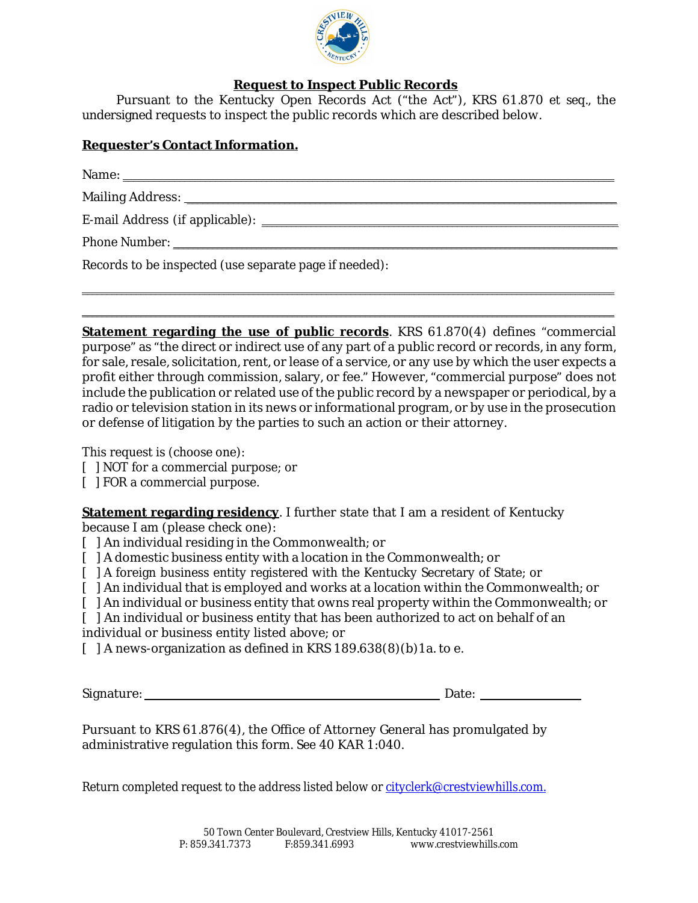

## **Request to Inspect Public Records**

Pursuant to the Kentucky Open Records Act ("the Act"), KRS 61.870 *et seq.*, the undersigned requests to inspect the public records which are described below.

## **Requester's ContactInformation.**

| Phone Number: National According to the Contract of the Contract of the Contract of the Contract of the Contract of the Contract of the Contract of the Contract of the Contract of the Contract of the Contract of the Contra |
|--------------------------------------------------------------------------------------------------------------------------------------------------------------------------------------------------------------------------------|
| Records to be inspected (use separate page if needed):                                                                                                                                                                         |

 $\_$  ,  $\_$  ,  $\_$  ,  $\_$  ,  $\_$  ,  $\_$  ,  $\_$  ,  $\_$  ,  $\_$  ,  $\_$  ,  $\_$  ,  $\_$  ,  $\_$  ,  $\_$  ,  $\_$  ,  $\_$  ,  $\_$  ,  $\_$  ,  $\_$  ,  $\_$  ,  $\_$  ,  $\_$  ,  $\_$  ,  $\_$  ,  $\_$  ,  $\_$  ,  $\_$  ,  $\_$  ,  $\_$  ,  $\_$  ,  $\_$  ,  $\_$  ,  $\_$  ,  $\_$  ,  $\_$  ,  $\_$  ,  $\_$  , \_\_\_\_\_\_\_\_\_\_\_\_\_\_\_\_\_\_\_\_\_\_\_\_\_\_\_\_\_\_\_\_\_\_\_\_\_\_\_\_\_\_\_\_\_\_\_\_\_\_\_\_\_\_\_\_\_\_\_\_\_\_\_\_\_\_\_\_\_\_\_\_\_\_\_\_\_\_\_\_\_\_\_\_\_\_\_\_\_\_\_\_\_\_\_\_\_\_\_\_\_\_\_\_\_\_\_\_\_

**Statement regarding the use of public records**. KRS 61.870(4) defines "commercial purpose" as "the direct or indirect use of any part of a public record or records, in any form, for sale, resale, solicitation, rent, or lease of a service, or any use by which the user expects a profit either through commission, salary, or fee." However, "commercial purpose" does not include the publication or related use of the public record by a newspaper or periodical, by a radio or television station in its news or informational program, or by use in the prosecution or defense of litigation by the parties to such an action or their attorney.

This request is (choose one):

[ ] NOT for a commercial purpose; or

[ ] FOR a commercial purpose.

**Statement regarding residency**. I further state that I am a resident of Kentucky because I am (please check one):

[ ] An individual residing in the Commonwealth; or

- [ ] A domestic business entity with a location in the Commonwealth; or
- [ ] A foreign business entity registered with the Kentucky Secretary of State; or
- [ ] An individual that is employed and works at a location within the Commonwealth; or
- [ ] An individual or business entity that owns real property within the Commonwealth; or

[ ] An individual or business entity that has been authorized to act on behalf of an individual or business entity listed above; or

 $\lceil$  | A news-organization as defined in KRS 189.638(8)(b) 1a. to e.

Signature: Date:

Pursuant to KRS 61.876(4), the Office of Attorney General has promulgated by administrative regulation this form. *See* 40 KAR 1:040.

Return completed request to the address listed below or [cityclerk@crestviewhills.com.](mailto:cityclerk@crestviewhills.com)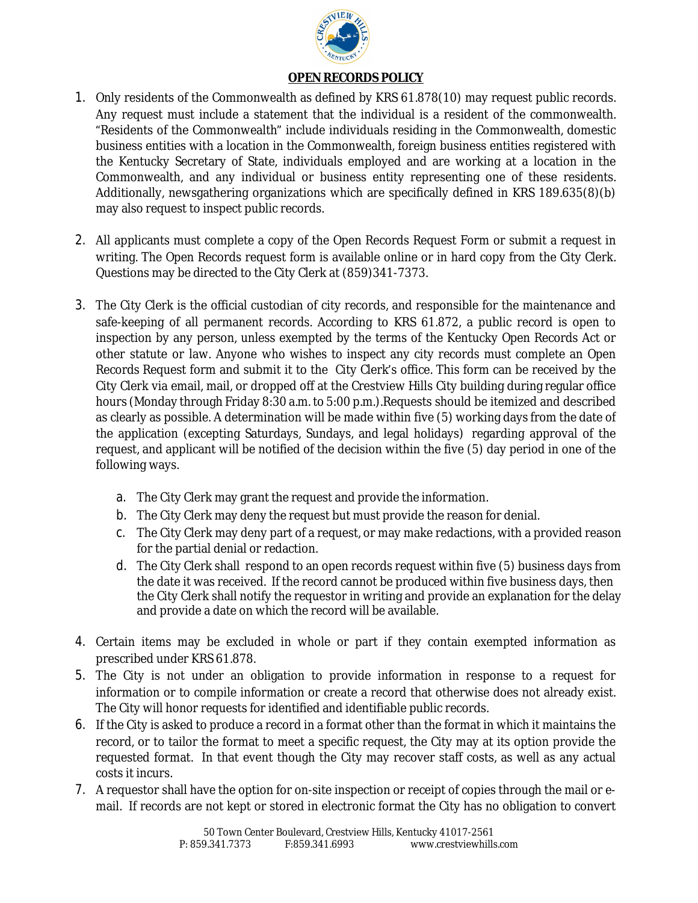

## **OPEN RECORDS POLICY**

- 1. Only residents of the Commonwealth as defined by KRS 61.878(10) may request public records. Any request must include a statement that the individual is a resident of the commonwealth. "Residents of the Commonwealth" include individuals residing in the Commonwealth, domestic business entities with a location in the Commonwealth, foreign business entities registered with the Kentucky Secretary of State, individuals employed and are working at a location in the Commonwealth, and any individual or business entity representing one of these residents. Additionally, newsgathering organizations which are specifically defined in KRS 189.635(8)(b) may also request to inspect public records.
- 2. All applicants must complete a copy of the Open Records Request Form or submit a request in writing. The Open Records request form is available online or in hard copy from the City Clerk. Questions may be directed to the City Clerk at (859)341-7373.
- 3. The City Clerk is the official custodian of city records, and responsible for the maintenance and safe-keeping of all permanent records. According to KRS 61.872, a public record is open to inspection by any person, unless exempted by the terms of the Kentucky Open Records Act or other statute or law. Anyone who wishes to inspect any city records must complete an Open Records Request form and submit it to the City Clerk's office. This form can be received by the City Clerk via email, mail, or dropped off at the Crestview Hills City building during regular office hours (Monday through Friday 8:30 a.m. to 5:00 p.m.).Requests should be itemized and described as clearly as possible. A determination will be made within five (5) working days from the date of the application (excepting Saturdays, Sundays, and legal holidays) regarding approval of the request, and applicant will be notified of the decision within the five (5) day period in one of the following ways.
	- a. The City Clerk may grant the request and provide the information.
	- b. The City Clerk may deny the request but must provide the reason for denial.
	- c. The City Clerk may deny part of a request, or may make redactions, with a provided reason for the partial denial or redaction.
	- d. The City Clerk shall respond to an open records request within five (5) business days from the date it was received. If the record cannot be produced within five business days, then the City Clerk shall notify the requestor in writing and provide an explanation for the delay and provide a date on which the record will be available.
- 4. Certain items may be excluded in whole or part if they contain exempted information as prescribed under KRS 61.878.
- 5. The City is not under an obligation to provide information in response to a request for information or to compile information or create a record that otherwise does not already exist. The City will honor requests for identified and identifiable public records.
- 6. If the City is asked to produce a record in a format other than the format in which it maintains the record, or to tailor the format to meet a specific request, the City may at its option provide the requested format. In that event though the City may recover staff costs, as well as any actual costs it incurs.
- 7. A requestor shall have the option for on-site inspection or receipt of copies through the mail or email. If records are not kept or stored in electronic format the City has no obligation to convert